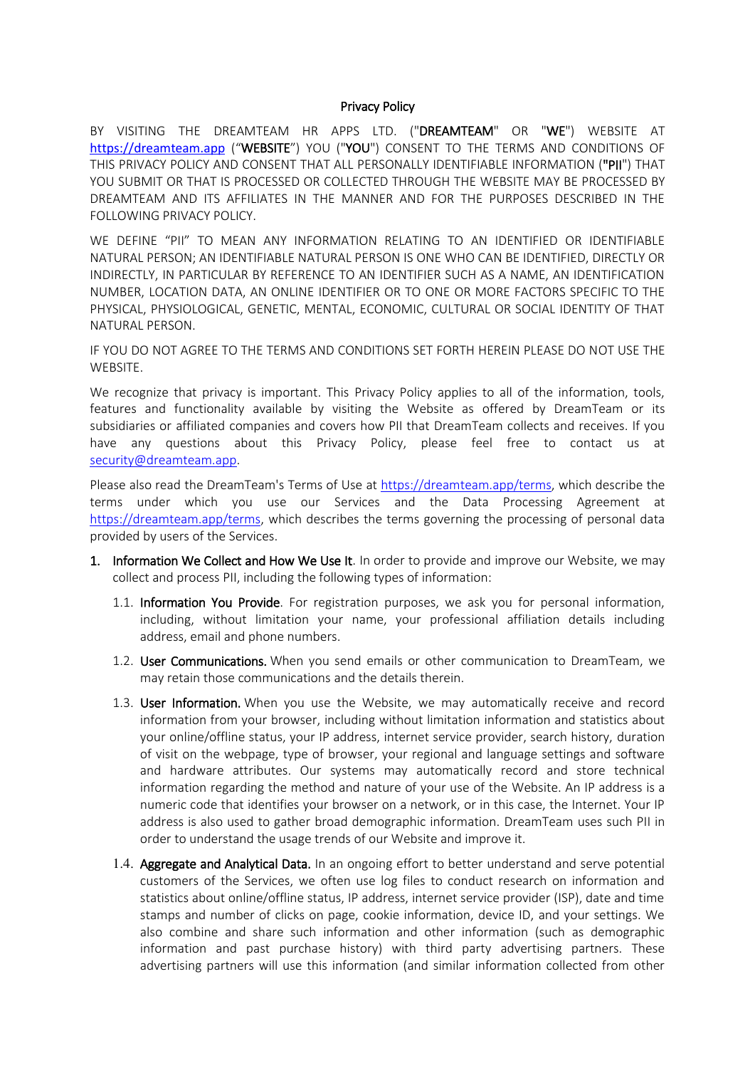## Privacy Policy

BY VISITING THE DREAMTEAM HR APPS LTD. ("DREAMTEAM" OR "WE") WEBSITE AT [https://dreamteam.app](https://dreamteam.app/) ("WEBSITE") YOU ("YOU") CONSENT TO THE TERMS AND CONDITIONS OF THIS PRIVACY POLICY AND CONSENT THAT ALL PERSONALLY IDENTIFIABLE INFORMATION ("PII") THAT YOU SUBMIT OR THAT IS PROCESSED OR COLLECTED THROUGH THE WEBSITE MAY BE PROCESSED BY DREAMTEAM AND ITS AFFILIATES IN THE MANNER AND FOR THE PURPOSES DESCRIBED IN THE FOLLOWING PRIVACY POLICY.

WE DEFINE "PII" TO MEAN ANY INFORMATION RELATING TO AN IDENTIFIED OR IDENTIFIABLE NATURAL PERSON; AN IDENTIFIABLE NATURAL PERSON IS ONE WHO CAN BE IDENTIFIED, DIRECTLY OR INDIRECTLY, IN PARTICULAR BY REFERENCE TO AN IDENTIFIER SUCH AS A NAME, AN IDENTIFICATION NUMBER, LOCATION DATA, AN ONLINE IDENTIFIER OR TO ONE OR MORE FACTORS SPECIFIC TO THE PHYSICAL, PHYSIOLOGICAL, GENETIC, MENTAL, ECONOMIC, CULTURAL OR SOCIAL IDENTITY OF THAT NATURAL PERSON.

IF YOU DO NOT AGREE TO THE TERMS AND CONDITIONS SET FORTH HEREIN PLEASE DO NOT USE THE WEBSITE.

We recognize that privacy is important. This Privacy Policy applies to all of the information, tools, features and functionality available by visiting the Website as offered by DreamTeam or its subsidiaries or affiliated companies and covers how PII that DreamTeam collects and receives. If you have any questions about this Privacy Policy, please feel free to contact us at [security@dreamteam.app.](mailto:security@dreamteam.app)

Please also read the DreamTeam's Terms of Use at [https://dreamteam.app/terms,](https://dreamteam.app/terms) which describe the terms under which you use our Services and the Data Processing Agreement at [https://dreamteam.app/terms,](https://dreamteam.app/terms) which describes the terms governing the processing of personal data provided by users of the Services.

- 1. Information We Collect and How We Use It. In order to provide and improve our Website, we may collect and process PII, including the following types of information:
	- 1.1. Information You Provide. For registration purposes, we ask you for personal information, including, without limitation your name, your professional affiliation details including address, email and phone numbers.
	- 1.2. User Communications. When you send emails or other communication to DreamTeam, we may retain those communications and the details therein.
	- 1.3. User Information. When you use the Website, we may automatically receive and record information from your browser, including without limitation information and statistics about your online/offline status, your IP address, internet service provider, search history, duration of visit on the webpage, type of browser, your regional and language settings and software and hardware attributes. Our systems may automatically record and store technical information regarding the method and nature of your use of the Website. An IP address is a numeric code that identifies your browser on a network, or in this case, the Internet. Your IP address is also used to gather broad demographic information. DreamTeam uses such PII in order to understand the usage trends of our Website and improve it.
	- 1.4. Aggregate and Analytical Data. In an ongoing effort to better understand and serve potential customers of the Services, we often use log files to conduct research on information and statistics about online/offline status, IP address, internet service provider (ISP), date and time stamps and number of clicks on page, cookie information, device ID, and your settings. We also combine and share such information and other information (such as demographic information and past purchase history) with third party advertising partners. These advertising partners will use this information (and similar information collected from other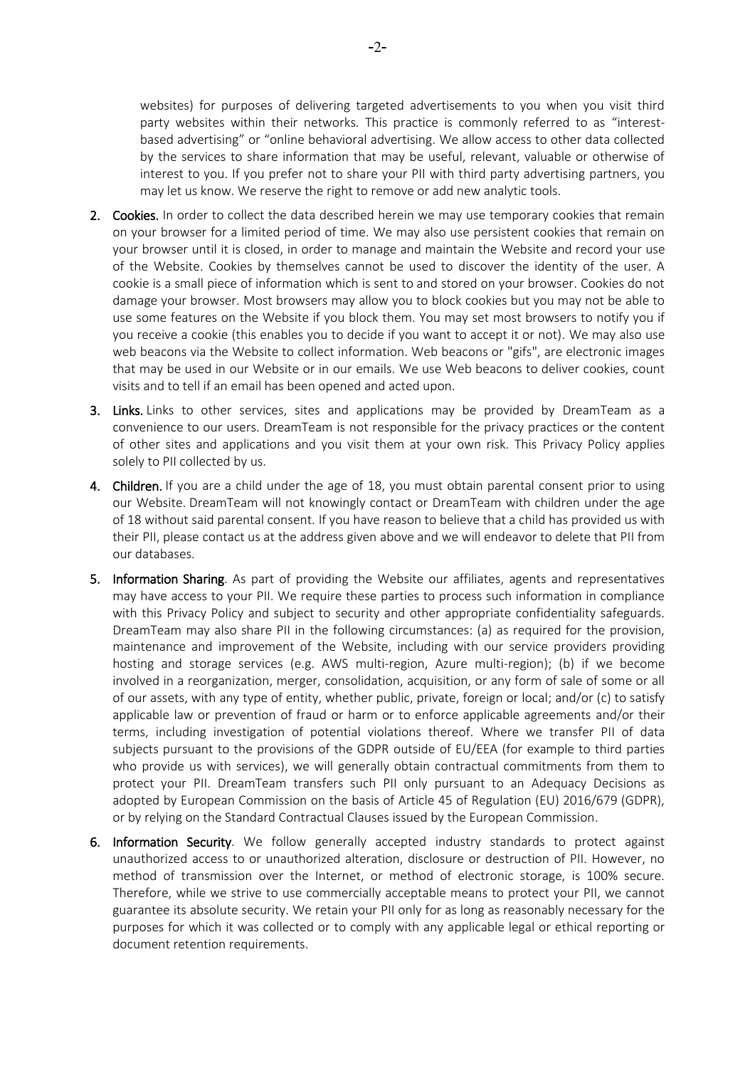websites) for purposes of delivering targeted advertisements to you when you visit third party websites within their networks. This practice is commonly referred to as "interestbased advertising" or "online behavioral advertising. We allow access to other data collected by the services to share information that may be useful, relevant, valuable or otherwise of interest to you. If you prefer not to share your PII with third party advertising partners, you may let us know. We reserve the right to remove or add new analytic tools.

- 2. Cookies. In order to collect the data described herein we may use temporary cookies that remain on your browser for a limited period of time. We may also use persistent cookies that remain on your browser until it is closed, in order to manage and maintain the Website and record your use of the Website. Cookies by themselves cannot be used to discover the identity of the user. A cookie is a small piece of information which is sent to and stored on your browser. Cookies do not damage your browser. Most browsers may allow you to block cookies but you may not be able to use some features on the Website if you block them. You may set most browsers to notify you if you receive a cookie (this enables you to decide if you want to accept it or not). We may also use web beacons via the Website to collect information. Web beacons or "gifs", are electronic images that may be used in our Website or in our emails. We use Web beacons to deliver cookies, count visits and to tell if an email has been opened and acted upon.
- 3. Links. Links to other services, sites and applications may be provided by DreamTeam as a convenience to our users. DreamTeam is not responsible for the privacy practices or the content of other sites and applications and you visit them at your own risk. This Privacy Policy applies solely to PII collected by us.
- 4. Children. If you are a child under the age of 18, you must obtain parental consent prior to using our Website. DreamTeam will not knowingly contact or DreamTeam with children under the age of 18 without said parental consent. If you have reason to believe that a child has provided us with their PII, please contact us at the address given above and we will endeavor to delete that PII from our databases.
- 5. Information Sharing. As part of providing the Website our affiliates, agents and representatives may have access to your PII. We require these parties to process such information in compliance with this Privacy Policy and subject to security and other appropriate confidentiality safeguards. DreamTeam may also share PII in the following circumstances: (a) as required for the provision, maintenance and improvement of the Website, including with our service providers providing hosting and storage services (e.g. AWS multi-region, Azure multi-region); (b) if we become involved in a reorganization, merger, consolidation, acquisition, or any form of sale of some or all of our assets, with any type of entity, whether public, private, foreign or local; and/or (c) to satisfy applicable law or prevention of fraud or harm or to enforce applicable agreements and/or their terms, including investigation of potential violations thereof. Where we transfer PII of data subjects pursuant to the provisions of the GDPR outside of EU/EEA (for example to third parties who provide us with services), we will generally obtain contractual commitments from them to protect your PII. DreamTeam transfers such PII only pursuant to an Adequacy Decisions as adopted by European Commission on the basis of Article 45 of Regulation (EU) 2016/679 (GDPR), or by relying on the Standard Contractual Clauses issued by the European Commission.
- 6. Information Security. We follow generally accepted industry standards to protect against unauthorized access to or unauthorized alteration, disclosure or destruction of PII. However, no method of transmission over the Internet, or method of electronic storage, is 100% secure. Therefore, while we strive to use commercially acceptable means to protect your PII, we cannot guarantee its absolute security. We retain your PII only for as long as reasonably necessary for the purposes for which it was collected or to comply with any applicable legal or ethical reporting or document retention requirements.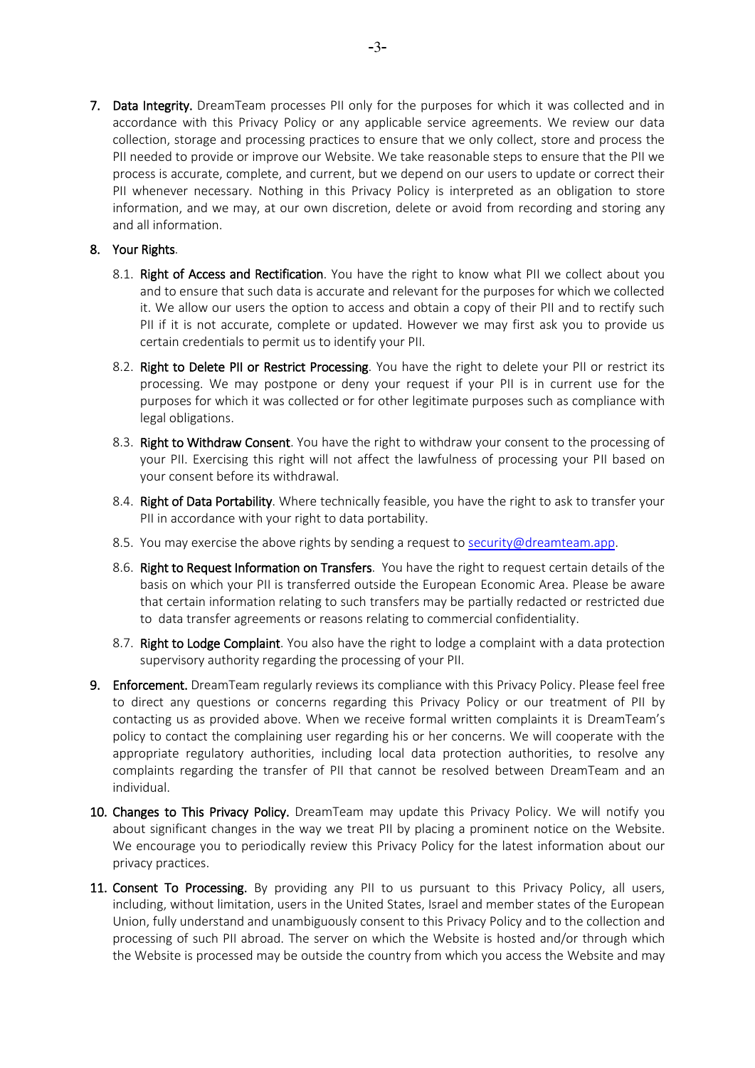7. Data Integrity. DreamTeam processes PII only for the purposes for which it was collected and in accordance with this Privacy Policy or any applicable service agreements. We review our data collection, storage and processing practices to ensure that we only collect, store and process the PII needed to provide or improve our Website. We take reasonable steps to ensure that the PII we process is accurate, complete, and current, but we depend on our users to update or correct their PII whenever necessary. Nothing in this Privacy Policy is interpreted as an obligation to store information, and we may, at our own discretion, delete or avoid from recording and storing any and all information.

## 8. Your Rights.

- 8.1. Right of Access and Rectification. You have the right to know what PII we collect about you and to ensure that such data is accurate and relevant for the purposes for which we collected it. We allow our users the option to access and obtain a copy of their PII and to rectify such PII if it is not accurate, complete or updated. However we may first ask you to provide us certain credentials to permit us to identify your PII.
- 8.2. Right to Delete PII or Restrict Processing. You have the right to delete your PII or restrict its processing. We may postpone or deny your request if your PII is in current use for the purposes for which it was collected or for other legitimate purposes such as compliance with legal obligations.
- 8.3. Right to Withdraw Consent. You have the right to withdraw your consent to the processing of your PII. Exercising this right will not affect the lawfulness of processing your PII based on your consent before its withdrawal.
- 8.4. Right of Data Portability. Where technically feasible, you have the right to ask to transfer your PII in accordance with your right to data portability.
- 8.5. You may exercise the above rights by sending a request to [security@dreamteam.app.](mailto:security@dreamteam.app)
- 8.6. Right to Request Information on Transfers. You have the right to request certain details of the basis on which your PII is transferred outside the European Economic Area. Please be aware that certain information relating to such transfers may be partially redacted or restricted due to data transfer agreements or reasons relating to commercial confidentiality.
- 8.7. Right to Lodge Complaint. You also have the right to lodge a complaint with a data protection supervisory authority regarding the processing of your PII.
- 9. Enforcement. DreamTeam regularly reviews its compliance with this Privacy Policy. Please feel free to direct any questions or concerns regarding this Privacy Policy or our treatment of PII by contacting us as provided above. When we receive formal written complaints it is DreamTeam's policy to contact the complaining user regarding his or her concerns. We will cooperate with the appropriate regulatory authorities, including local data protection authorities, to resolve any complaints regarding the transfer of PII that cannot be resolved between DreamTeam and an individual.
- 10. Changes to This Privacy Policy. DreamTeam may update this Privacy Policy. We will notify you about significant changes in the way we treat PII by placing a prominent notice on the Website. We encourage you to periodically review this Privacy Policy for the latest information about our privacy practices.
- 11. Consent To Processing. By providing any PII to us pursuant to this Privacy Policy, all users, including, without limitation, users in the United States, Israel and member states of the European Union, fully understand and unambiguously consent to this Privacy Policy and to the collection and processing of such PII abroad. The server on which the Website is hosted and/or through which the Website is processed may be outside the country from which you access the Website and may